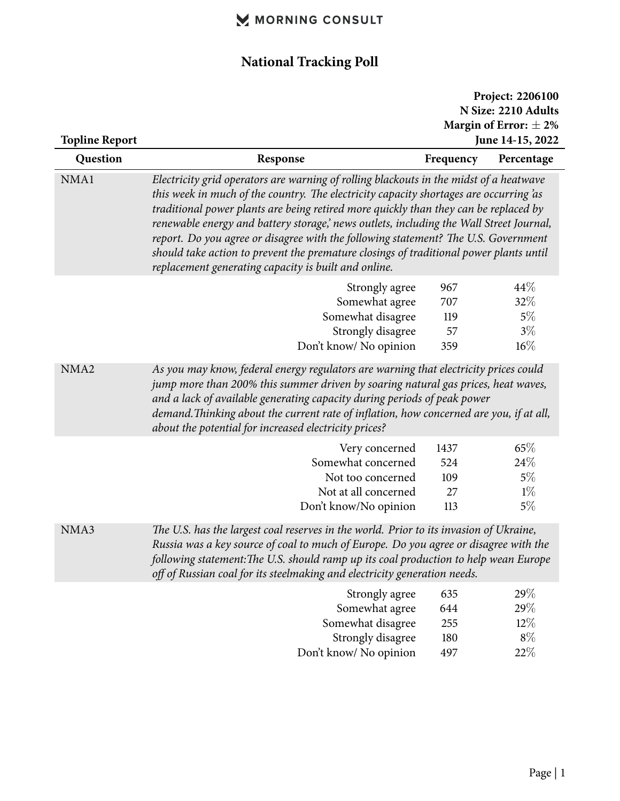## MORNING CONSULT

# **National Tracking Poll**

| <b>Topline Report</b> |                                                                                                                                                                                                                                                                                                                                                                                                                                                                                                                                                                                                           |                                 | Project: 2206100<br>N Size: 2210 Adults<br>Margin of Error: $\pm 2\%$<br>June 14-15, 2022 |
|-----------------------|-----------------------------------------------------------------------------------------------------------------------------------------------------------------------------------------------------------------------------------------------------------------------------------------------------------------------------------------------------------------------------------------------------------------------------------------------------------------------------------------------------------------------------------------------------------------------------------------------------------|---------------------------------|-------------------------------------------------------------------------------------------|
| Question              | Response                                                                                                                                                                                                                                                                                                                                                                                                                                                                                                                                                                                                  | Frequency                       | Percentage                                                                                |
| NMA1                  | Electricity grid operators are warning of rolling blackouts in the midst of a heatwave<br>this week in much of the country. The electricity capacity shortages are occurring as<br>traditional power plants are being retired more quickly than they can be replaced by<br>renewable energy and battery storage, news outlets, including the Wall Street Journal,<br>report. Do you agree or disagree with the following statement? The U.S. Government<br>should take action to prevent the premature closings of traditional power plants until<br>replacement generating capacity is built and online. |                                 |                                                                                           |
|                       | Strongly agree<br>Somewhat agree<br>Somewhat disagree<br>Strongly disagree<br>Don't know/ No opinion                                                                                                                                                                                                                                                                                                                                                                                                                                                                                                      | 967<br>707<br>119<br>57<br>359  | 44\%<br>32%<br>$5\%$<br>$3\%$<br>$16\%$                                                   |
| NMA <sub>2</sub>      | As you may know, federal energy regulators are warning that electricity prices could<br>jump more than 200% this summer driven by soaring natural gas prices, heat waves,<br>and a lack of available generating capacity during periods of peak power<br>demand. Thinking about the current rate of inflation, how concerned are you, if at all,<br>about the potential for increased electricity prices?                                                                                                                                                                                                 |                                 |                                                                                           |
|                       | Very concerned<br>Somewhat concerned<br>Not too concerned<br>Not at all concerned<br>Don't know/No opinion                                                                                                                                                                                                                                                                                                                                                                                                                                                                                                | 1437<br>524<br>109<br>27<br>113 | 65%<br>24\%<br>$5\%$<br>$1\%$<br>$5\%$                                                    |
| NMA3                  | The U.S. has the largest coal reserves in the world. Prior to its invasion of Ukraine,<br>Russia was a key source of coal to much of Europe. Do you agree or disagree with the<br>following statement: The U.S. should ramp up its coal production to help wean Europe<br>off of Russian coal for its steelmaking and electricity generation needs.                                                                                                                                                                                                                                                       |                                 |                                                                                           |
|                       | Strongly agree<br>Somewhat agree<br>Somewhat disagree<br>Strongly disagree<br>Don't know/ No opinion                                                                                                                                                                                                                                                                                                                                                                                                                                                                                                      | 635<br>644<br>255<br>180<br>497 | 29%<br>29%<br>$12\%$<br>$8\%$<br>22%                                                      |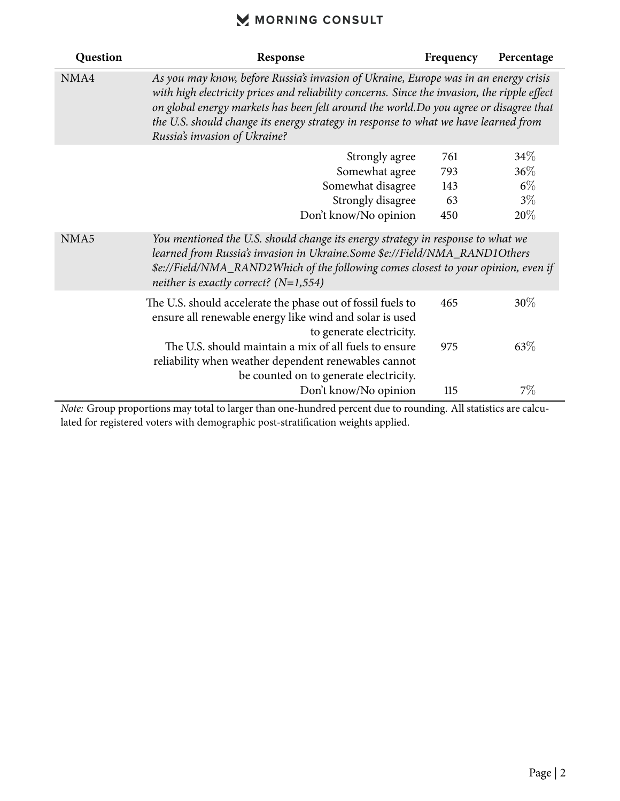### MORNING CONSULT

| Question | Response                                                                                                                                                                                                                                                                                                                                                                                               | Frequency | Percentage |
|----------|--------------------------------------------------------------------------------------------------------------------------------------------------------------------------------------------------------------------------------------------------------------------------------------------------------------------------------------------------------------------------------------------------------|-----------|------------|
| NMA4     | As you may know, before Russia's invasion of Ukraine, Europe was in an energy crisis<br>with high electricity prices and reliability concerns. Since the invasion, the ripple effect<br>on global energy markets has been felt around the world. Do you agree or disagree that<br>the U.S. should change its energy strategy in response to what we have learned from<br>Russia's invasion of Ukraine? |           |            |
|          | Strongly agree                                                                                                                                                                                                                                                                                                                                                                                         | 761       | 34%        |
|          | Somewhat agree                                                                                                                                                                                                                                                                                                                                                                                         | 793       | 36%        |
|          | Somewhat disagree                                                                                                                                                                                                                                                                                                                                                                                      | 143       | $6\%$      |
|          | Strongly disagree                                                                                                                                                                                                                                                                                                                                                                                      | 63        | $3\%$      |
|          | Don't know/No opinion                                                                                                                                                                                                                                                                                                                                                                                  | 450       | 20%        |
| NMA5     | You mentioned the U.S. should change its energy strategy in response to what we<br>learned from Russia's invasion in Ukraine.Some \$e://Field/NMA_RAND1Others<br>\$e://Field/NMA_RAND2Which of the following comes closest to your opinion, even if<br>neither is exactly correct? ( $N=1,554$ )                                                                                                       |           |            |
|          | The U.S. should accelerate the phase out of fossil fuels to<br>ensure all renewable energy like wind and solar is used<br>to generate electricity.                                                                                                                                                                                                                                                     | 465       | $30\%$     |
|          | The U.S. should maintain a mix of all fuels to ensure<br>reliability when weather dependent renewables cannot<br>be counted on to generate electricity.                                                                                                                                                                                                                                                | 975       | 63\%       |
|          | Don't know/No opinion                                                                                                                                                                                                                                                                                                                                                                                  | 115       | 7%         |

*Note:* Group proportions may total to larger than one-hundred percent due to rounding. All statistics are calculated for registered voters with demographic post-stratification weights applied.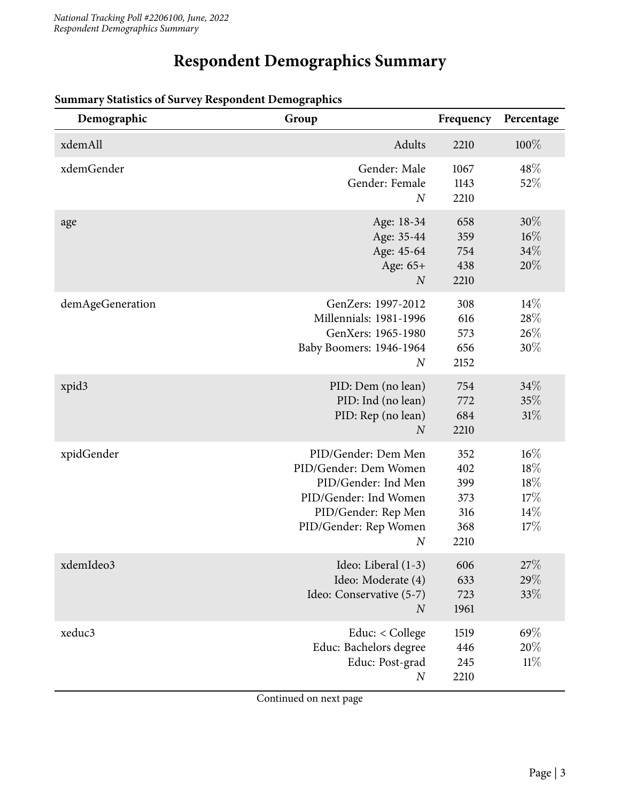# **Respondent Demographics Summary**

| Demographic       | Group                                                                                                                                                            | Frequency                                      | Percentage                                   |
|-------------------|------------------------------------------------------------------------------------------------------------------------------------------------------------------|------------------------------------------------|----------------------------------------------|
| xdemAll           | Adults                                                                                                                                                           | 2210                                           | 100%                                         |
| xdemGender        | Gender: Male<br>Gender: Female<br>$\overline{N}$                                                                                                                 | 1067<br>1143<br>2210                           | 48\%<br>52%                                  |
| age               | Age: 18-34<br>Age: 35-44<br>Age: 45-64<br>Age: 65+<br>$\boldsymbol{N}$                                                                                           | 658<br>359<br>754<br>438<br>2210               | $30\%$<br>$16\%$<br>34%<br>20%               |
| demAgeGeneration  | GenZers: 1997-2012<br>Millennials: 1981-1996<br>GenXers: 1965-1980<br>Baby Boomers: 1946-1964<br>$\boldsymbol{N}$                                                | 308<br>616<br>573<br>656<br>2152               | 14%<br>28\%<br>$26\%$<br>30%                 |
| xpid <sub>3</sub> | PID: Dem (no lean)<br>PID: Ind (no lean)<br>PID: Rep (no lean)<br>$\overline{N}$                                                                                 | 754<br>772<br>684<br>2210                      | 34%<br>35%<br>31%                            |
| xpidGender        | PID/Gender: Dem Men<br>PID/Gender: Dem Women<br>PID/Gender: Ind Men<br>PID/Gender: Ind Women<br>PID/Gender: Rep Men<br>PID/Gender: Rep Women<br>$\boldsymbol{N}$ | 352<br>402<br>399<br>373<br>316<br>368<br>2210 | $16\%$<br>18%<br>18%<br>17%<br>$14\%$<br>17% |
| xdemIdeo3         | Ideo: Liberal (1-3)<br>Ideo: Moderate (4)<br>Ideo: Conservative (5-7)<br>$\boldsymbol{N}$                                                                        | 606<br>633<br>723<br>1961                      | 27%<br>29%<br>33\%                           |
| xeduc3            | Educ: < College<br>Educ: Bachelors degree<br>Educ: Post-grad<br>$\boldsymbol{N}$                                                                                 | 1519<br>446<br>245<br>2210                     | 69%<br>20%<br>11%                            |

#### **Summary Statistics of Survey Respondent Demographics**

Continued on next page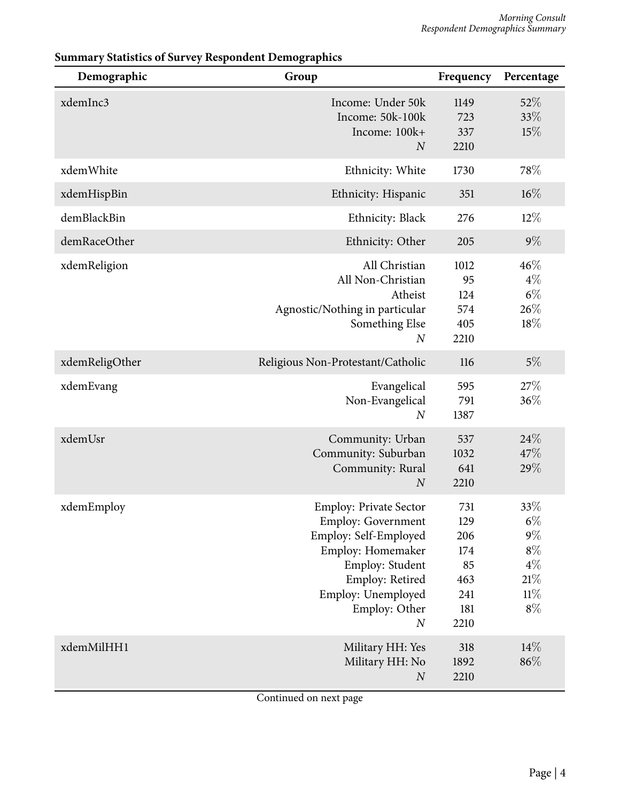| Demographic    | Group                                                                                                                                                                                             | Frequency                                                   | Percentage                                                        |
|----------------|---------------------------------------------------------------------------------------------------------------------------------------------------------------------------------------------------|-------------------------------------------------------------|-------------------------------------------------------------------|
| xdemInc3       | Income: Under 50k<br>Income: 50k-100k<br>Income: 100k+<br>$\overline{N}$                                                                                                                          | 1149<br>723<br>337<br>2210                                  | 52%<br>33%<br>15%                                                 |
| xdemWhite      | Ethnicity: White                                                                                                                                                                                  | 1730                                                        | 78%                                                               |
| xdemHispBin    | Ethnicity: Hispanic                                                                                                                                                                               | 351                                                         | $16\%$                                                            |
| demBlackBin    | Ethnicity: Black                                                                                                                                                                                  | 276                                                         | $12\%$                                                            |
| demRaceOther   | Ethnicity: Other                                                                                                                                                                                  | 205                                                         | $9\%$                                                             |
| xdemReligion   | All Christian<br>All Non-Christian<br>Atheist<br>Agnostic/Nothing in particular<br>Something Else<br>$\boldsymbol{N}$                                                                             | 1012<br>95<br>124<br>574<br>405<br>2210                     | 46%<br>$4\%$<br>$6\%$<br>26%<br>18%                               |
| xdemReligOther | Religious Non-Protestant/Catholic                                                                                                                                                                 | 116                                                         | $5\%$                                                             |
| xdemEvang      | Evangelical<br>Non-Evangelical<br>$\boldsymbol{N}$                                                                                                                                                | 595<br>791<br>1387                                          | 27%<br>36%                                                        |
| xdemUsr        | Community: Urban<br>Community: Suburban<br>Community: Rural<br>$\boldsymbol{N}$                                                                                                                   | 537<br>1032<br>641<br>2210                                  | 24\%<br>47%<br>29%                                                |
| xdemEmploy     | <b>Employ: Private Sector</b><br><b>Employ: Government</b><br>Employ: Self-Employed<br>Employ: Homemaker<br>Employ: Student<br>Employ: Retired<br>Employ: Unemployed<br>Employ: Other<br>$\cal N$ | 731<br>129<br>206<br>174<br>85<br>463<br>241<br>181<br>2210 | 33%<br>$6\%$<br>$9\%$<br>$8\%$<br>$4\%$<br>$21\%$<br>11%<br>$8\%$ |
| xdemMilHH1     | Military HH: Yes<br>Military HH: No<br>$\boldsymbol{N}$                                                                                                                                           | 318<br>1892<br>2210                                         | 14%<br>86%                                                        |

#### **Summary Statistics of Survey Respondent Demographics**

Continued on next page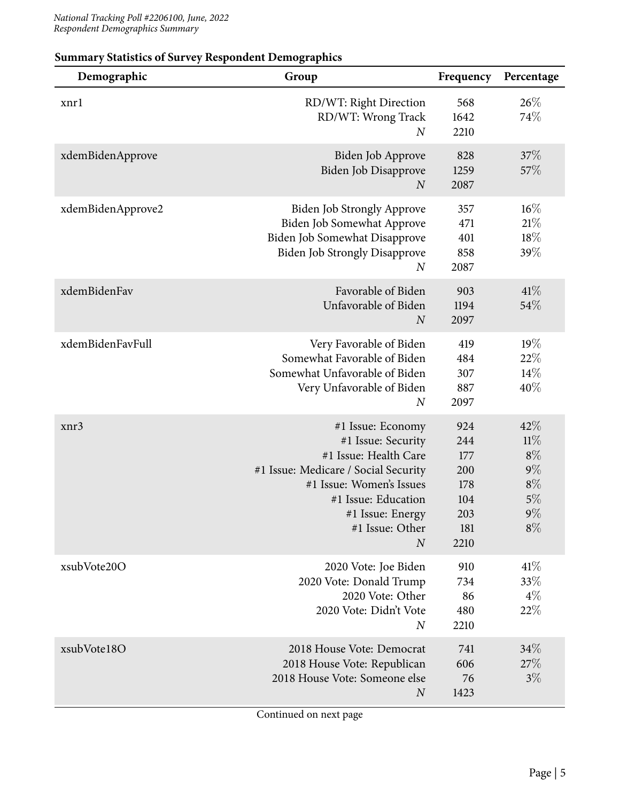| Demographic       | Group                                                                                                                                                                                                                  | Frequency                                                    | Percentage                                                       |
|-------------------|------------------------------------------------------------------------------------------------------------------------------------------------------------------------------------------------------------------------|--------------------------------------------------------------|------------------------------------------------------------------|
| xnrl              | RD/WT: Right Direction<br>RD/WT: Wrong Track<br>$\boldsymbol{N}$                                                                                                                                                       | 568<br>1642<br>2210                                          | 26%<br>74%                                                       |
| xdemBidenApprove  | Biden Job Approve<br>Biden Job Disapprove<br>$\boldsymbol{N}$                                                                                                                                                          | 828<br>1259<br>2087                                          | 37\%<br>57%                                                      |
| xdemBidenApprove2 | <b>Biden Job Strongly Approve</b><br>Biden Job Somewhat Approve<br>Biden Job Somewhat Disapprove<br><b>Biden Job Strongly Disapprove</b><br>$\boldsymbol{N}$                                                           | 357<br>471<br>401<br>858<br>2087                             | $16\%$<br>21%<br>18%<br>39%                                      |
| xdemBidenFav      | Favorable of Biden<br>Unfavorable of Biden<br>$\boldsymbol{N}$                                                                                                                                                         | 903<br>1194<br>2097                                          | 41%<br>54%                                                       |
| xdemBidenFavFull  | Very Favorable of Biden<br>Somewhat Favorable of Biden<br>Somewhat Unfavorable of Biden<br>Very Unfavorable of Biden<br>$\boldsymbol{N}$                                                                               | 419<br>484<br>307<br>887<br>2097                             | 19%<br>22%<br>14%<br>40%                                         |
| xnr3              | #1 Issue: Economy<br>#1 Issue: Security<br>#1 Issue: Health Care<br>#1 Issue: Medicare / Social Security<br>#1 Issue: Women's Issues<br>#1 Issue: Education<br>#1 Issue: Energy<br>#1 Issue: Other<br>$\boldsymbol{N}$ | 924<br>244<br>177<br>200<br>178<br>104<br>203<br>181<br>2210 | 42%<br>11%<br>$8\%$<br>$9\%$<br>$8\%$<br>$5\%$<br>$9\%$<br>$8\%$ |
| xsubVote20O       | 2020 Vote: Joe Biden<br>2020 Vote: Donald Trump<br>2020 Vote: Other<br>2020 Vote: Didn't Vote<br>$\boldsymbol{N}$                                                                                                      | 910<br>734<br>86<br>480<br>2210                              | 41\%<br>33%<br>$4\%$<br>22%                                      |
| xsubVote18O       | 2018 House Vote: Democrat<br>2018 House Vote: Republican<br>2018 House Vote: Someone else<br>$\boldsymbol{N}$                                                                                                          | 741<br>606<br>76<br>1423                                     | 34\%<br>27%<br>$3\%$                                             |

#### **Summary Statistics of Survey Respondent Demographics**

Continued on next page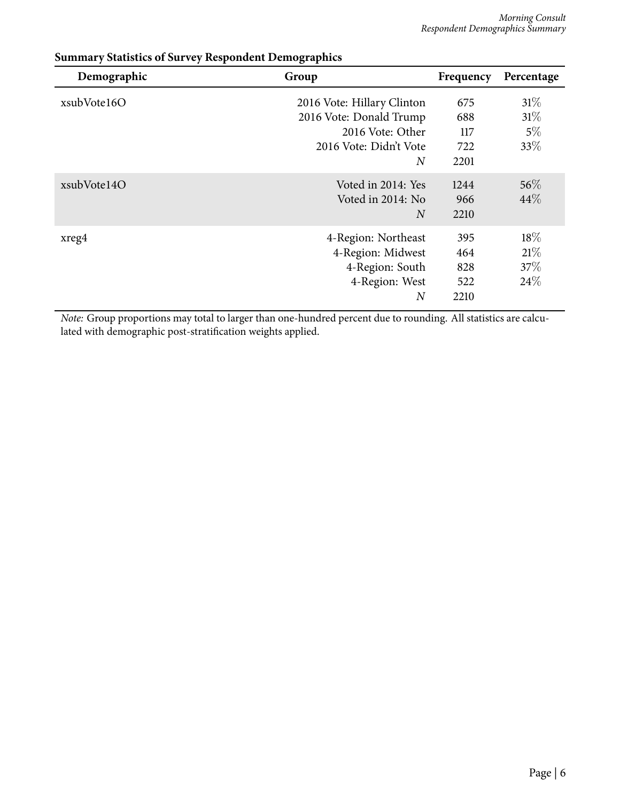| Demographic | Group                                                                                                                 | Frequency                        | Percentage                     |
|-------------|-----------------------------------------------------------------------------------------------------------------------|----------------------------------|--------------------------------|
| xsubVote16O | 2016 Vote: Hillary Clinton<br>2016 Vote: Donald Trump<br>2016 Vote: Other<br>2016 Vote: Didn't Vote<br>$\overline{N}$ | 675<br>688<br>117<br>722<br>2201 | 31%<br>$31\%$<br>$5\%$<br>33\% |
| xsubVote14O | Voted in 2014: Yes<br>Voted in 2014: No<br>$\overline{N}$                                                             | 1244<br>966<br>2210              | $56\%$<br>44%                  |
| xreg4       | 4-Region: Northeast<br>4-Region: Midwest<br>4-Region: South<br>4-Region: West<br>$\boldsymbol{N}$                     | 395<br>464<br>828<br>522<br>2210 | 18\%<br>21%<br>37\%<br>24\%    |

#### **Summary Statistics of Survey Respondent Demographics**

*Note:* Group proportions may total to larger than one-hundred percent due to rounding. All statistics are calculated with demographic post-stratification weights applied.